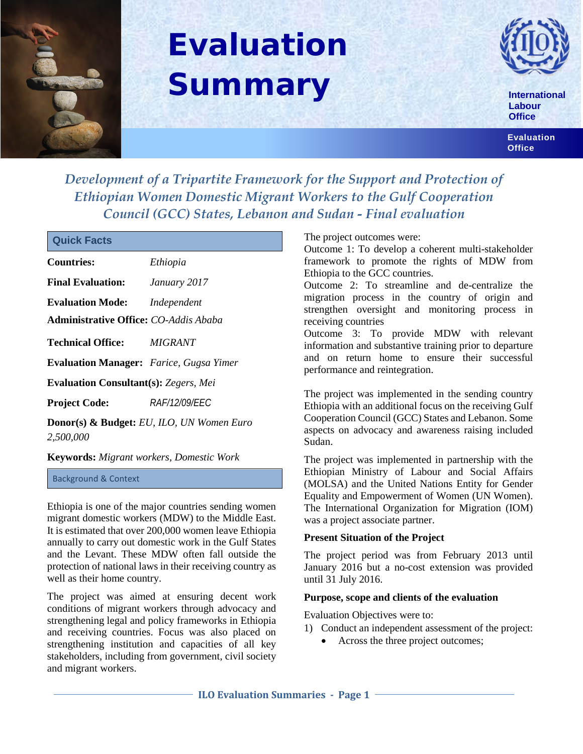

# **Evaluation Summary**



**International Labour Office**

**Evaluation Office**

*Development of a Tripartite Framework for the Support and Protection of Ethiopian Women Domestic Migrant Workers to the Gulf Cooperation Council (GCC) States, Lebanon and Sudan - Final evaluation*

| <b>Countries:</b>                                    | Ethiopia             |
|------------------------------------------------------|----------------------|
| <b>Final Evaluation:</b>                             | January 2017         |
| <b>Evaluation Mode:</b>                              | Independent          |
| Administrative Office: CO-Addis Ababa                |                      |
| Technical Office: MIGRANT                            |                      |
| <b>Evaluation Manager:</b> Farice, Gugsa Yimer       |                      |
| <b>Evaluation Consultant(s): Zegers, Mei</b>         |                      |
| Project Code:                                        | <b>RAF/12/09/EEC</b> |
| <b>Donor(s) &amp; Budget:</b> EU, ILO, UN Women Euro |                      |

*2,500,000* 

**Keywords:** *Migrant workers, Domestic Work*

Background & Context

Ethiopia is one of the major countries sending women migrant domestic workers (MDW) to the Middle East. It is estimated that over 200,000 women leave Ethiopia annually to carry out domestic work in the Gulf States and the Levant. These MDW often fall outside the protection of national laws in their receiving country as well as their home country.

The project was aimed at ensuring decent work conditions of migrant workers through advocacy and strengthening legal and policy frameworks in Ethiopia and receiving countries. Focus was also placed on strengthening institution and capacities of all key stakeholders, including from government, civil society and migrant workers.

The project outcomes were:

Outcome 1: To develop a coherent multi-stakeholder framework to promote the rights of MDW from Ethiopia to the GCC countries.

Outcome 2: To streamline and de-centralize the migration process in the country of origin and strengthen oversight and monitoring process in receiving countries

Outcome 3: To provide MDW with relevant information and substantive training prior to departure and on return home to ensure their successful performance and reintegration.

The project was implemented in the sending country Ethiopia with an additional focus on the receiving Gulf Cooperation Council (GCC) States and Lebanon. Some aspects on advocacy and awareness raising included Sudan.

The project was implemented in partnership with the Ethiopian Ministry of Labour and Social Affairs (MOLSA) and the United Nations Entity for Gender Equality and Empowerment of Women [\(UN Women\)](http://www.unwomen.org/). The International Organization for Migration (IOM) was a project associate partner.

### **Present Situation of the Project**

The project period was from February 2013 until January 2016 but a no-cost extension was provided until 31 July 2016.

### **Purpose, scope and clients of the evaluation**

Evaluation Objectives were to:

- 1) Conduct an independent assessment of the project:
	- Across the three project outcomes;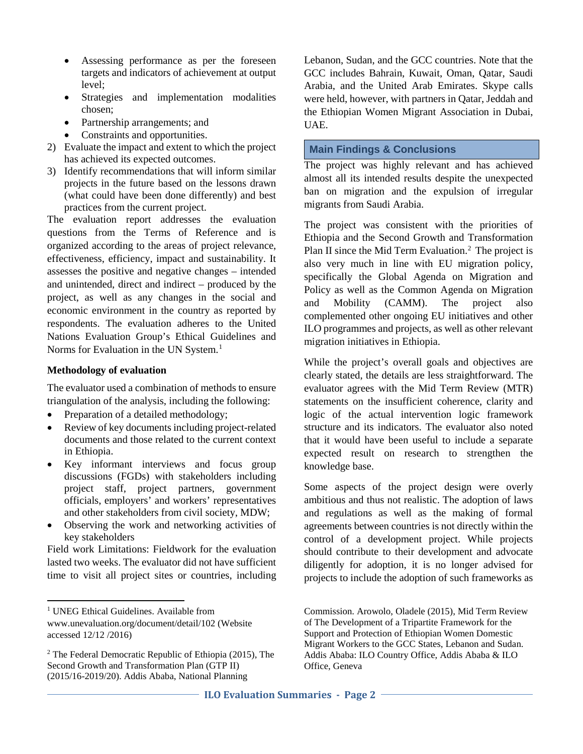- Assessing performance as per the foreseen targets and indicators of achievement at output level;
- Strategies and implementation modalities chosen;
- Partnership arrangements; and
- Constraints and opportunities.
- 2) Evaluate the impact and extent to which the project has achieved its expected outcomes.
- 3) Identify recommendations that will inform similar projects in the future based on the lessons drawn (what could have been done differently) and best practices from the current project.

The evaluation report addresses the evaluation questions from the Terms of Reference and is organized according to the areas of project relevance, effectiveness, efficiency, impact and sustainability. It assesses the positive and negative changes – intended and unintended, direct and indirect – produced by the project, as well as any changes in the social and economic environment in the country as reported by respondents. The evaluation adheres to the United Nations Evaluation Group's Ethical Guidelines and Norms for Evaluation in the UN System.<sup>[1](#page-1-0)</sup>

### **Methodology of evaluation**

l

The evaluator used a combination of methods to ensure triangulation of the analysis, including the following:

- Preparation of a detailed methodology;
- Review of key documents including project-related documents and those related to the current context in Ethiopia.
- Key informant interviews and focus group discussions (FGDs) with stakeholders including project staff, project partners, government officials, employers' and workers' representatives and other stakeholders from civil society, MDW;
- Observing the work and networking activities of key stakeholders

Field work Limitations: Fieldwork for the evaluation lasted two weeks. The evaluator did not have sufficient time to visit all project sites or countries, including

Lebanon, Sudan, and the GCC countries. Note that the GCC includes Bahrain, Kuwait, Oman, Qatar, Saudi Arabia, and the United Arab Emirates. Skype calls were held, however, with partners in Qatar, Jeddah and the Ethiopian Women Migrant Association in Dubai, UAE.

## **Main Findings & Conclusions**

The project was highly relevant and has achieved almost all its intended results despite the unexpected ban on migration and the expulsion of irregular migrants from Saudi Arabia.

The project was consistent with the priorities of Ethiopia and the Second Growth and Transformation Plan II since the Mid Term Evaluation.<sup>[2](#page-1-1)</sup> The project is also very much in line with EU migration policy, specifically the Global Agenda on Migration and Policy as well as the Common Agenda on Migration and Mobility (CAMM). The project also complemented other ongoing EU initiatives and other ILO programmes and projects, as well as other relevant migration initiatives in Ethiopia.

While the project's overall goals and objectives are clearly stated, the details are less straightforward. The evaluator agrees with the Mid Term Review (MTR) statements on the insufficient coherence, clarity and logic of the actual intervention logic framework structure and its indicators. The evaluator also noted that it would have been useful to include a separate expected result on research to strengthen the knowledge base.

Some aspects of the project design were overly ambitious and thus not realistic. The adoption of laws and regulations as well as the making of formal agreements between countries is not directly within the control of a development project. While projects should contribute to their development and advocate diligently for adoption, it is no longer advised for projects to include the adoption of such frameworks as

Commission. Arowolo, Oladele (2015), Mid Term Review of The Development of a Tripartite Framework for the Support and Protection of Ethiopian Women Domestic Migrant Workers to the GCC States, Lebanon and Sudan. Addis Ababa: ILO Country Office, Addis Ababa & ILO Office, Geneva

<span id="page-1-0"></span><sup>&</sup>lt;sup>1</sup> UNEG Ethical Guidelines. Available from [www.unevaluation.org/document/detail/102](http://www.unevaluation.org/document/detail/102) (Website accessed 12/12 /2016)

<span id="page-1-1"></span><sup>2</sup> The Federal Democratic Republic of Ethiopia (2015), The Second Growth and Transformation Plan (GTP II) (2015/16-2019/20). Addis Ababa, National Planning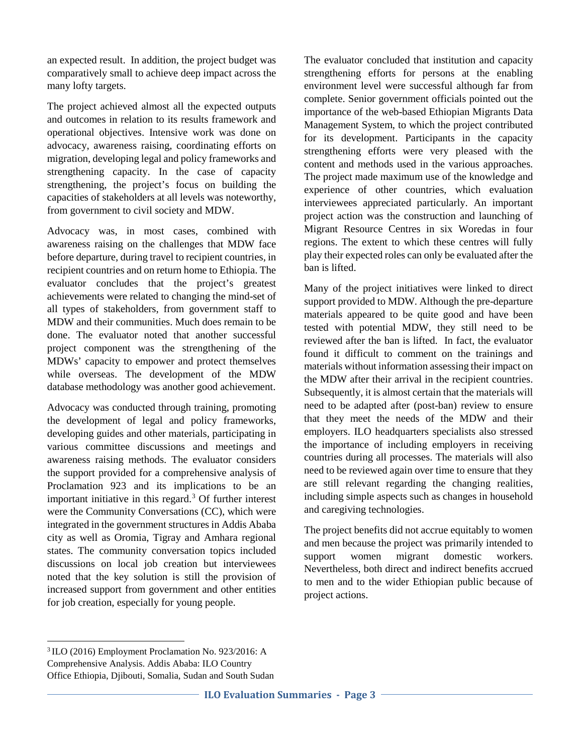an expected result. In addition, the project budget was comparatively small to achieve deep impact across the many lofty targets.

The project achieved almost all the expected outputs and outcomes in relation to its results framework and operational objectives. Intensive work was done on advocacy, awareness raising, coordinating efforts on migration, developing legal and policy frameworks and strengthening capacity. In the case of capacity strengthening, the project's focus on building the capacities of stakeholders at all levels was noteworthy, from government to civil society and MDW.

Advocacy was, in most cases, combined with awareness raising on the challenges that MDW face before departure, during travel to recipient countries, in recipient countries and on return home to Ethiopia. The evaluator concludes that the project's greatest achievements were related to changing the mind-set of all types of stakeholders, from government staff to MDW and their communities. Much does remain to be done. The evaluator noted that another successful project component was the strengthening of the MDWs' capacity to empower and protect themselves while overseas. The development of the MDW database methodology was another good achievement.

Advocacy was conducted through training, promoting the development of legal and policy frameworks, developing guides and other materials, participating in various committee discussions and meetings and awareness raising methods. The evaluator considers the support provided for a comprehensive analysis of Proclamation 923 and its implications to be an important initiative in this regard. $3$  Of further interest were the Community Conversations (CC), which were integrated in the government structures in Addis Ababa city as well as Oromia, Tigray and Amhara regional states. The community conversation topics included discussions on local job creation but interviewees noted that the key solution is still the provision of increased support from government and other entities for job creation, especially for young people.

The evaluator concluded that institution and capacity strengthening efforts for persons at the enabling environment level were successful although far from complete. Senior government officials pointed out the importance of the web-based Ethiopian Migrants Data Management System, to which the project contributed for its development. Participants in the capacity strengthening efforts were very pleased with the content and methods used in the various approaches. The project made maximum use of the knowledge and experience of other countries, which evaluation interviewees appreciated particularly. An important project action was the construction and launching of Migrant Resource Centres in six Woredas in four regions. The extent to which these centres will fully play their expected roles can only be evaluated after the ban is lifted.

Many of the project initiatives were linked to direct support provided to MDW. Although the pre-departure materials appeared to be quite good and have been tested with potential MDW, they still need to be reviewed after the ban is lifted. In fact, the evaluator found it difficult to comment on the trainings and materials without information assessing their impact on the MDW after their arrival in the recipient countries. Subsequently, it is almost certain that the materials will need to be adapted after (post-ban) review to ensure that they meet the needs of the MDW and their employers. ILO headquarters specialists also stressed the importance of including employers in receiving countries during all processes. The materials will also need to be reviewed again over time to ensure that they are still relevant regarding the changing realities, including simple aspects such as changes in household and caregiving technologies.

The project benefits did not accrue equitably to women and men because the project was primarily intended to support women migrant domestic workers. Nevertheless, both direct and indirect benefits accrued to men and to the wider Ethiopian public because of project actions.

l

<span id="page-2-0"></span><sup>3</sup> ILO (2016) Employment Proclamation No. 923/2016: A Comprehensive Analysis. Addis Ababa: ILO Country Office Ethiopia, Djibouti, Somalia, Sudan and South Sudan